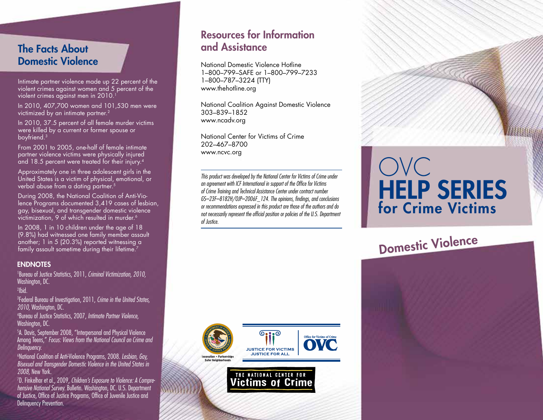## The Facts About Domestic Violence

Intimate partner violence made up 22 percent of the violent crimes against women and 5 percent of the violent crimes against men in 2010.<sup>1</sup>

In 2010, 407,700 women and 101,530 men were victimized by an intimate partner.<sup>2</sup>

In 2010, 37.5 percent of all female murder victims were killed by a current or former spouse or boyfriend.3

From 2001 to 2005, one-half of female intimate partner violence victims were physically injured and 18.5 percent were treated for their injury.4

Approximately one in three adolescent girls in the United States is a victim of physical, emotional, or verbal abuse from a dating partner.<sup>5</sup>

During 2008, the National Coalition of Anti-Violence Programs documented 3,419 cases of lesbian, gay, bisexual, and transgender domestic violence victimization. 9 of which resulted in murder.<sup>6</sup>

In 2008, 1 in 10 children under the age of 18 (9.8%) had witnessed one family member assault another; 1 in 5 (20.3%) reported witnessing a family assault sometime during their lifetime.<sup>7</sup>

#### **ENDNOTES**

1 Bureau of Justice Statistics, 2011, *Criminal Victimization, 2010,* Washington, DC.

2 Ibid.

3 Federal Bureau of Investigation, 2011, *Crime in the United States, 2010,* Washington, DC.

4 Bureau of Justice Statistics, 2007, *Intimate Partner Violence,* Washington, DC.

5 A. Davis, September 2008, "Interpersonal and Physical Violence Among Teens," *Focus: Views from the National Council on Crime and Delinquency.*

6 National Coalition of Anti-Violence Programs, 2008. *Lesbian, Gay, Bisexual and Transgender Domestic Violence in the United States in 2008,* New York.

7 D. Finkelhor et al., 2009, *Children's Exposure to Violence: A Comprehensive National Survey.* Bulletin. Washington, DC. U.S. Department of Justice, Office of Justice Programs, Office of Juvenile Justice and Delinquency Prevention.

# Resources for Information and Assistance

National Domestic Violence Hotline 1–800–799–SAFE or 1–800–799–7233 1–800–787–3224 (TTY) www.thehotline.org

National Coalition Against Domestic Violence 303–839–1852 www.ncadv.org

National Center for Victims of Crime 202–467–8700 www.ncvc.org

*This product was developed by the National Center for Victims of Crime under an agreement with ICF International in support of the Office for Victims of Crime Training and Technical Assistance Center under contract number GS–23F–8182H/OJP–2006F\_124. The opinions, findings, and conclusions or recommendations expressed in this product are those of the authors and do not necessarily represent the official position or policies of the U.S. Department of Justice.*



**Victims of Crime** 

# OVC HELP sERIEs for Crime Victims

Domestic Violence